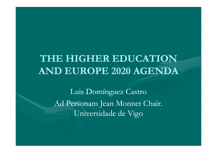## THE HIGHER EDUCATION **AND EUROPE 2020 AGENDA**

Luis Domínguez Castro Ad Personam Jean Monnet Chair. Universidade de Vigo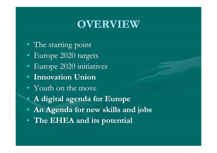### **OVERVIEW**

- The starting point
- Europe  $2020$  targets
- Europe 2020 initiatives
- **Innovation Union**
- Youth on the move

 $\bullet$ 

- **A digital agenda for Europe**
- **An Agenda for new skills and jobs**
- **The EHEA and its potential**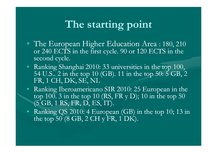## **The starting point**

- The European Higher Education Area : 180, 210 or  $240$  ECTS in the first cycle.  $90$  or  $120$  ECTS in the second cycle.
- Ranking Shanghai 2010: 33 universities in the top 100, 54 U.S.. 2 in the top 10 (GB). 11 in the top 50: 5 GB, 2  $\,$ FR, 1 CH, DK, SE, NL
- Ranking Iberoamericano SIR 2010: 25 European in the top 100. 3 in the top 10 (RS, FR y D); 10 in the top 50  $\,$ (5 GB, 1 RS, FR, D, ES, IT).
- Ranking QS 2010: 4 European (GB) in the top 10; 13 in the top  $50(8$  GB,  $2$  CH y FR,  $1$  DK).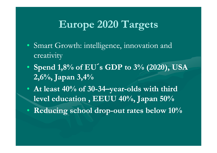# **Europe 2020 Targets**

- Smart Growth: intelligence, innovation and creativity
- **Spend 1,8% of EU ´s GDP to 3% (2020), USA 2 6% Japan 3 4% ,6%, ,4%**
- At least 40% of 30-34–year-olds with third **level education , EEUU 40%, Japan 50% 40%,**
- **Reducing school drop -out rates below 10% out**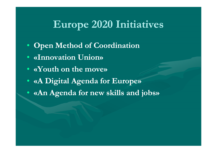## **Europe 2020 Initiatives 2020**

- **Open Method of Coordination**
- **«Innovation Union»**
- **«Youth on the move»**
- **«A Digital Agenda for Europe»**
- **«An Agenda for new skills and jobs»**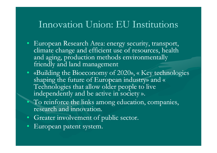#### Innovation Union: EU Institutions

- European Research Area: energy security, transport, climate change and efficient use of resources, health and aging, production methods environmentally friendly and land management
- «Building the Bioeconomy of 2020», « Key technologies shaping the future of European industry» and « Technologies that allow older people to live independently and be active in society ».
- To reinforce the links among education, companies, research and innovation.
- Greater involvement of public sector.
- $\bullet$ European patent system.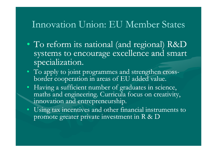#### Innovation Union: EU Member States

- $\bullet$ • To reform its national (and regional) R&D systems to encourage excellence and smart specialization.
- To apply to joint programmes and strengthen crossborder cooperation in areas of EU added value.
- Having a sufficient number of graduates in science, maths and engineering. Curricula focus on creativity, innovation and entrepreneurship.
- Using tax incentives and other financial instruments to promote greater private investment in R & D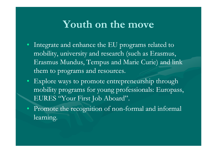### **Youth on the move the**

- Integrate and enhance the EU programs related to mobility, university and research (such as Erasmus, Erasmus Mundus, Tempus and Marie Curie) and link them to programs and resources.
- Explore ways to promote entrepreneurship through mobility programs for young professionals: Europass, EURES "Your First Job Aboard".
- Promote the recognition of non-formal and informal learning.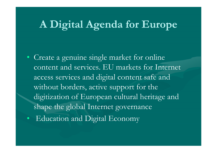### **A Digital Agenda for Europe**

- Create <sup>a</sup> genuine single market for online content and services. EU markets for Internet access services and digital content safe and without borders, active support for the digitization of European cultural heritage and shape the global Internet governance
- Education and Digital Economy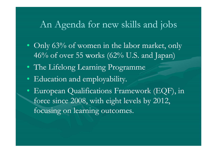### An Agenda for new skills and jobs

- Only 63% of women in the labor market, only 46% of over 55 works (62% U.S. and Japan)
- The Lifelong Learning Programme
- Education and employability.
- European Qualifications Framework (EQF), in force since 2008, with eight levels by 2012, focusing on learning outcomes.